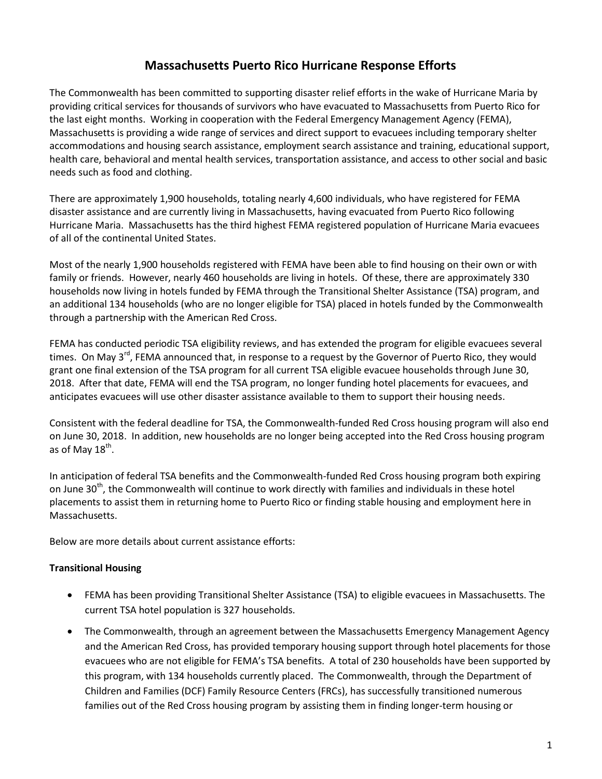# **Massachusetts Puerto Rico Hurricane Response Efforts**

The Commonwealth has been committed to supporting disaster relief efforts in the wake of Hurricane Maria by providing critical services for thousands of survivors who have evacuated to Massachusetts from Puerto Rico for the last eight months. Working in cooperation with the Federal Emergency Management Agency (FEMA), Massachusetts is providing a wide range of services and direct support to evacuees including temporary shelter accommodations and housing search assistance, employment search assistance and training, educational support, health care, behavioral and mental health services, transportation assistance, and access to other social and basic needs such as food and clothing.

There are approximately 1,900 households, totaling nearly 4,600 individuals, who have registered for FEMA disaster assistance and are currently living in Massachusetts, having evacuated from Puerto Rico following Hurricane Maria. Massachusetts has the third highest FEMA registered population of Hurricane Maria evacuees of all of the continental United States.

Most of the nearly 1,900 households registered with FEMA have been able to find housing on their own or with family or friends. However, nearly 460 households are living in hotels. Of these, there are approximately 330 households now living in hotels funded by FEMA through the Transitional Shelter Assistance (TSA) program, and an additional 134 households (who are no longer eligible for TSA) placed in hotels funded by the Commonwealth through a partnership with the American Red Cross.

FEMA has conducted periodic TSA eligibility reviews, and has extended the program for eligible evacuees several times. On May 3<sup>rd</sup>, FEMA announced that, in response to a request by the Governor of Puerto Rico, they would grant one final extension of the TSA program for all current TSA eligible evacuee households through June 30, 2018. After that date, FEMA will end the TSA program, no longer funding hotel placements for evacuees, and anticipates evacuees will use other disaster assistance available to them to support their housing needs.

Consistent with the federal deadline for TSA, the Commonwealth-funded Red Cross housing program will also end on June 30, 2018. In addition, new households are no longer being accepted into the Red Cross housing program as of May 18<sup>th</sup>.

In anticipation of federal TSA benefits and the Commonwealth-funded Red Cross housing program both expiring on June 30<sup>th</sup>, the Commonwealth will continue to work directly with families and individuals in these hotel placements to assist them in returning home to Puerto Rico or finding stable housing and employment here in Massachusetts.

Below are more details about current assistance efforts:

#### **Transitional Housing**

- FEMA has been providing Transitional Shelter Assistance (TSA) to eligible evacuees in Massachusetts. The current TSA hotel population is 327 households.
- The Commonwealth, through an agreement between the Massachusetts Emergency Management Agency and the American Red Cross, has provided temporary housing support through hotel placements for those evacuees who are not eligible for FEMA's TSA benefits. A total of 230 households have been supported by this program, with 134 households currently placed. The Commonwealth, through the Department of Children and Families (DCF) Family Resource Centers (FRCs), has successfully transitioned numerous families out of the Red Cross housing program by assisting them in finding longer-term housing or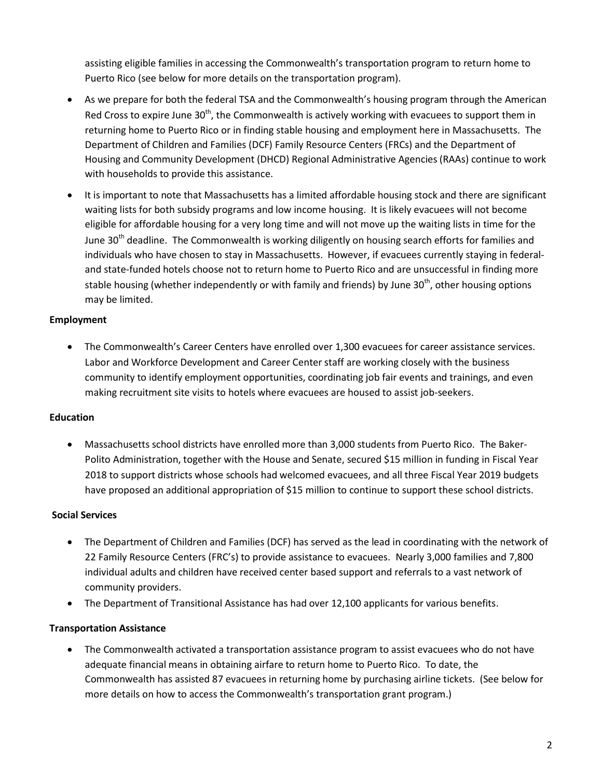assisting eligible families in accessing the Commonwealth's transportation program to return home to Puerto Rico (see below for more details on the transportation program).

- As we prepare for both the federal TSA and the Commonwealth's housing program through the American Red Cross to expire June 30<sup>th</sup>, the Commonwealth is actively working with evacuees to support them in returning home to Puerto Rico or in finding stable housing and employment here in Massachusetts. The Department of Children and Families (DCF) Family Resource Centers (FRCs) and the Department of Housing and Community Development (DHCD) Regional Administrative Agencies (RAAs) continue to work with households to provide this assistance.
- It is important to note that Massachusetts has a limited affordable housing stock and there are significant waiting lists for both subsidy programs and low income housing. It is likely evacuees will not become eligible for affordable housing for a very long time and will not move up the waiting lists in time for the June 30<sup>th</sup> deadline. The Commonwealth is working diligently on housing search efforts for families and individuals who have chosen to stay in Massachusetts. However, if evacuees currently staying in federaland state-funded hotels choose not to return home to Puerto Rico and are unsuccessful in finding more stable housing (whether independently or with family and friends) by June 30<sup>th</sup>, other housing options may be limited.

#### **Employment**

 The Commonwealth's Career Centers have enrolled over 1,300 evacuees for career assistance services. Labor and Workforce Development and Career Center staff are working closely with the business community to identify employment opportunities, coordinating job fair events and trainings, and even making recruitment site visits to hotels where evacuees are housed to assist job-seekers.

## **Education**

 Massachusetts school districts have enrolled more than 3,000 students from Puerto Rico. The Baker-Polito Administration, together with the House and Senate, secured \$15 million in funding in Fiscal Year 2018 to support districts whose schools had welcomed evacuees, and all three Fiscal Year 2019 budgets have proposed an additional appropriation of \$15 million to continue to support these school districts.

## **Social Services**

- The Department of Children and Families (DCF) has served as the lead in coordinating with the network of 22 Family Resource Centers (FRC's) to provide assistance to evacuees. Nearly 3,000 families and 7,800 individual adults and children have received center based support and referrals to a vast network of community providers.
- The Department of Transitional Assistance has had over 12,100 applicants for various benefits.

## **Transportation Assistance**

• The Commonwealth activated a transportation assistance program to assist evacuees who do not have adequate financial means in obtaining airfare to return home to Puerto Rico. To date, the Commonwealth has assisted 87 evacuees in returning home by purchasing airline tickets. (See below for more details on how to access the Commonwealth's transportation grant program.)